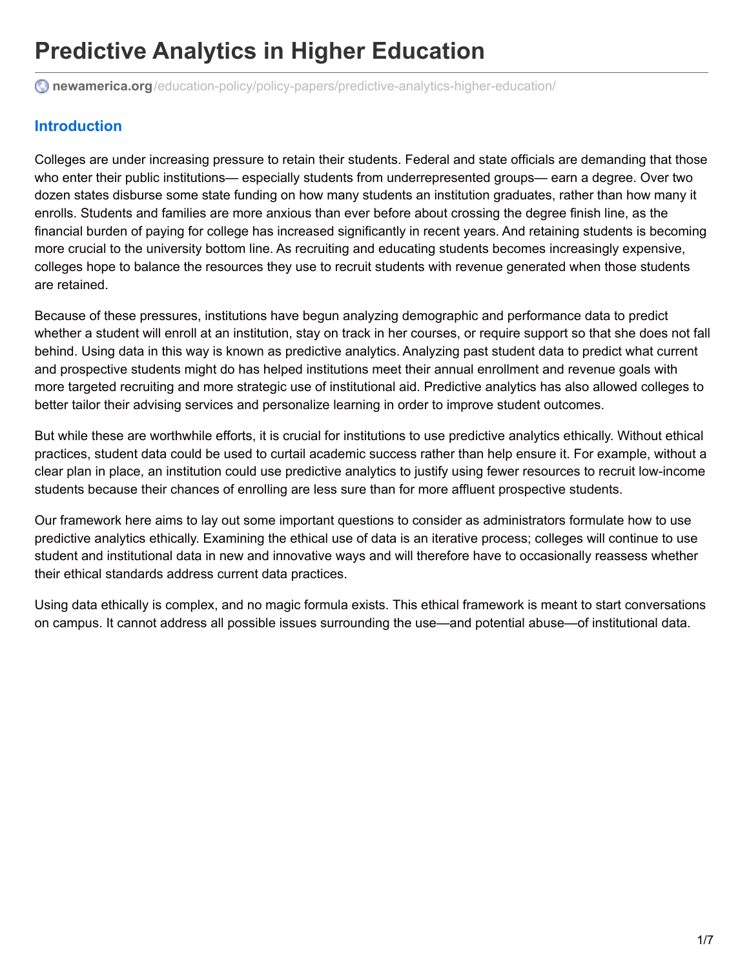# **Predictive Analytics in Higher Education**

 $\bullet$  **newamerica.org**[/education-policy/policy-papers/predictive-analytics-higher-education/](https://www.newamerica.org/education-policy/policy-papers/predictive-analytics-higher-education/?_r=0&utm_source=Academica+Top+Ten&utm_campaign=34088c5ea2-EMAIL_CAMPAIGN_2017_05_18&utm_medium=email&utm_term=0_b4928536cf-34088c5ea2-47774737#guiding-practice-1-have-a-vision-and-plan)

# <span id="page-0-0"></span>**[Introduction](#page-0-0)**

Colleges are under increasing pressure to retain their students. Federal and state officials are demanding that those who enter their public institutions— especially students from underrepresented groups— earn a degree. Over two dozen states disburse some state funding on how many students an institution graduates, rather than how many it enrolls. Students and families are more anxious than ever before about crossing the degree finish line, as the financial burden of paying for college has increased significantly in recent years. And retaining students is becoming more crucial to the university bottom line. As recruiting and educating students becomes increasingly expensive, colleges hope to balance the resources they use to recruit students with revenue generated when those students are retained.

Because of these pressures, institutions have begun analyzing demographic and performance data to predict whether a student will enroll at an institution, stay on track in her courses, or require support so that she does not fall behind. Using data in this way is known as predictive analytics. Analyzing past student data to predict what current and prospective students might do has helped institutions meet their annual enrollment and revenue goals with more targeted recruiting and more strategic use of institutional aid. Predictive analytics has also allowed colleges to better tailor their advising services and personalize learning in order to improve student outcomes.

But while these are worthwhile efforts, it is crucial for institutions to use predictive analytics ethically. Without ethical practices, student data could be used to curtail academic success rather than help ensure it. For example, without a clear plan in place, an institution could use predictive analytics to justify using fewer resources to recruit low-income students because their chances of enrolling are less sure than for more affluent prospective students.

Our framework here aims to lay out some important questions to consider as administrators formulate how to use predictive analytics ethically. Examining the ethical use of data is an iterative process; colleges will continue to use student and institutional data in new and innovative ways and will therefore have to occasionally reassess whether their ethical standards address current data practices.

Using data ethically is complex, and no magic formula exists. This ethical framework is meant to start conversations on campus. It cannot address all possible issues surrounding the use—and potential abuse—of institutional data.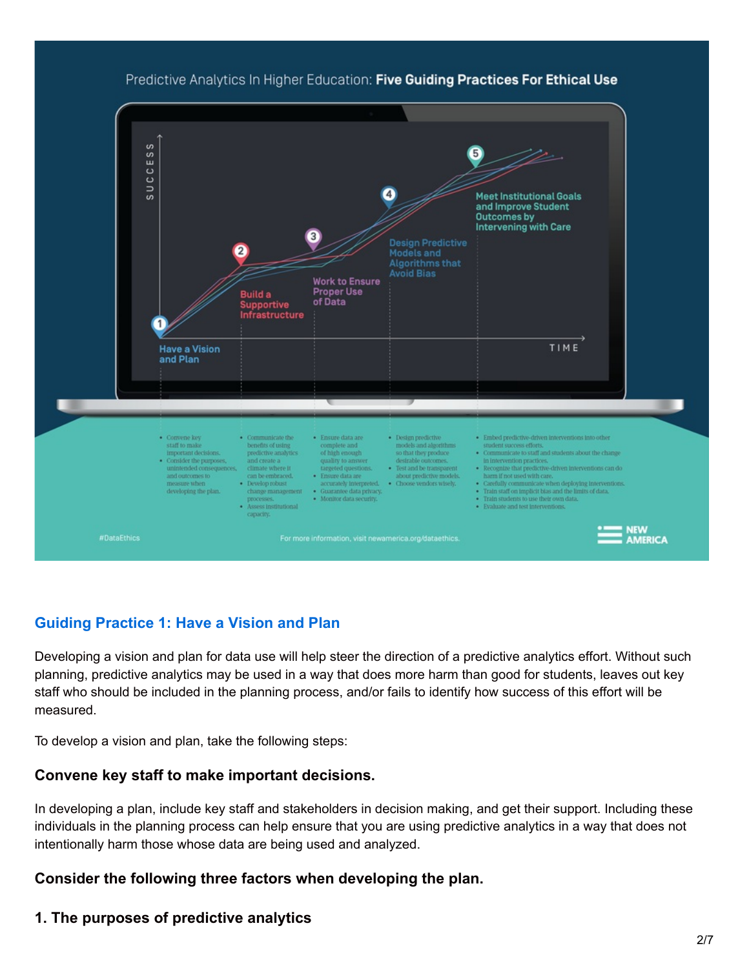

### Predictive Analytics In Higher Education: Five Guiding Practices For Ethical Use

## <span id="page-1-0"></span>**Guiding [Practice](#page-1-0) 1: Have a Vision and Plan**

Developing a vision and plan for data use will help steer the direction of a predictive analytics effort. Without such planning, predictive analytics may be used in a way that does more harm than good for students, leaves out key staff who should be included in the planning process, and/or fails to identify how success of this effort will be measured.

To develop a vision and plan, take the following steps:

#### **Convene key staff to make important decisions.**

In developing a plan, include key staff and stakeholders in decision making, and get their support. Including these individuals in the planning process can help ensure that you are using predictive analytics in a way that does not intentionally harm those whose data are being used and analyzed.

#### **Consider the following three factors when developing the plan.**

#### **1. The purposes of predictive analytics**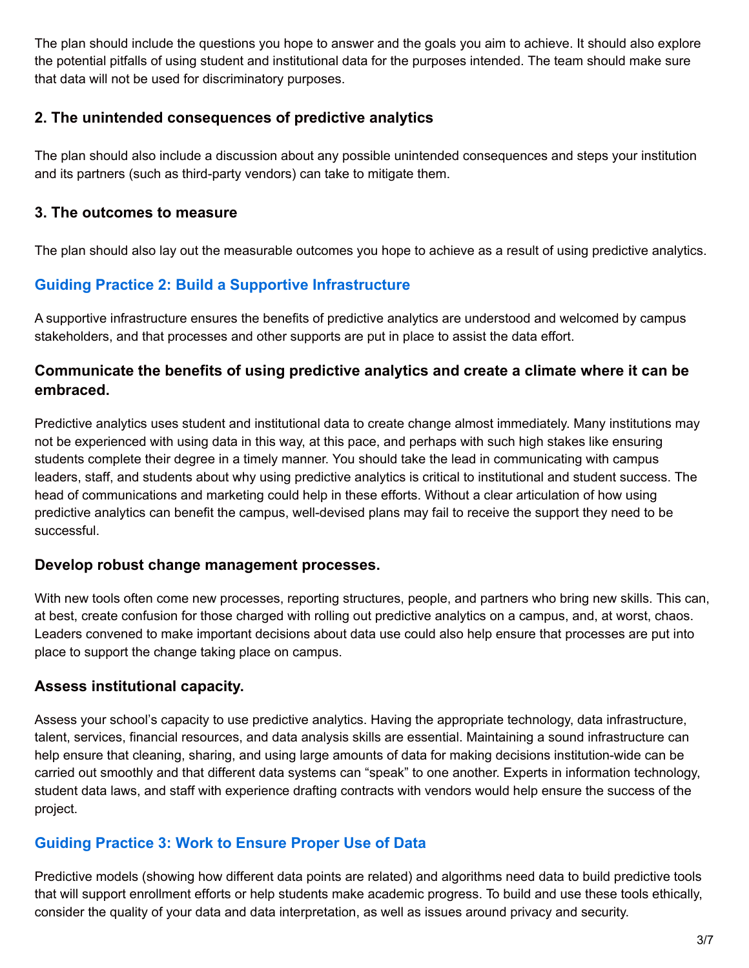The plan should include the questions you hope to answer and the goals you aim to achieve. It should also explore the potential pitfalls of using student and institutional data for the purposes intended. The team should make sure that data will not be used for discriminatory purposes.

## **2. The unintended consequences of predictive analytics**

The plan should also include a discussion about any possible unintended consequences and steps your institution and its partners (such as third-party vendors) can take to mitigate them.

## **3. The outcomes to measure**

The plan should also lay out the measurable outcomes you hope to achieve as a result of using predictive analytics.

# <span id="page-2-0"></span>**Guiding Practice 2: Build a Supportive [Infrastructure](#page-2-0)**

A supportive infrastructure ensures the benefits of predictive analytics are understood and welcomed by campus stakeholders, and that processes and other supports are put in place to assist the data effort.

## **Communicate the benefits of using predictive analytics and create a climate where it can be embraced.**

Predictive analytics uses student and institutional data to create change almost immediately. Many institutions may not be experienced with using data in this way, at this pace, and perhaps with such high stakes like ensuring students complete their degree in a timely manner. You should take the lead in communicating with campus leaders, staff, and students about why using predictive analytics is critical to institutional and student success. The head of communications and marketing could help in these efforts. Without a clear articulation of how using predictive analytics can benefit the campus, well-devised plans may fail to receive the support they need to be successful.

## **Develop robust change management processes.**

With new tools often come new processes, reporting structures, people, and partners who bring new skills. This can, at best, create confusion for those charged with rolling out predictive analytics on a campus, and, at worst, chaos. Leaders convened to make important decisions about data use could also help ensure that processes are put into place to support the change taking place on campus.

## **Assess institutional capacity.**

Assess your school's capacity to use predictive analytics. Having the appropriate technology, data infrastructure, talent, services, financial resources, and data analysis skills are essential. Maintaining a sound infrastructure can help ensure that cleaning, sharing, and using large amounts of data for making decisions institution-wide can be carried out smoothly and that different data systems can "speak" to one another. Experts in information technology, student data laws, and staff with experience drafting contracts with vendors would help ensure the success of the project.

# **Guiding [Practice](#page-3-0) 3: Work to Ensure Proper Use of Data**

Predictive models (showing how different data points are related) and algorithms need data to build predictive tools that will support enrollment efforts or help students make academic progress. To build and use these tools ethically, consider the quality of your data and data interpretation, as well as issues around privacy and security.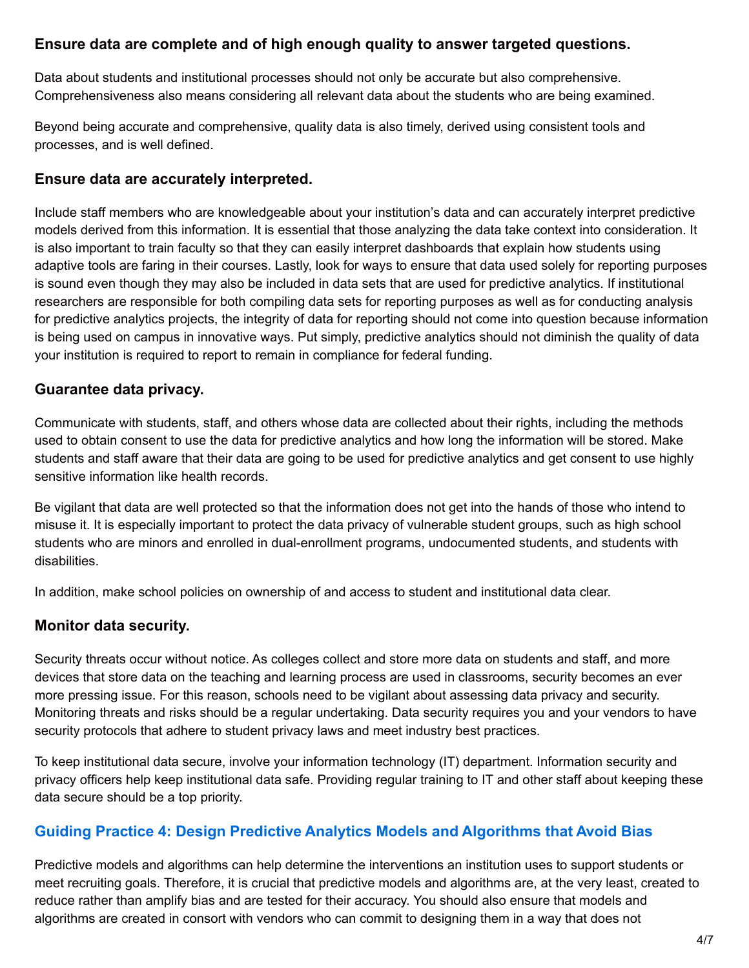## <span id="page-3-0"></span>**Ensure data are complete and of high enough quality to answer targeted questions.**

Data about students and institutional processes should not only be accurate but also comprehensive. Comprehensiveness also means considering all relevant data about the students who are being examined.

Beyond being accurate and comprehensive, quality data is also timely, derived using consistent tools and processes, and is well defined.

### **Ensure data are accurately interpreted.**

Include staff members who are knowledgeable about your institution's data and can accurately interpret predictive models derived from this information. It is essential that those analyzing the data take context into consideration. It is also important to train faculty so that they can easily interpret dashboards that explain how students using adaptive tools are faring in their courses. Lastly, look for ways to ensure that data used solely for reporting purposes is sound even though they may also be included in data sets that are used for predictive analytics. If institutional researchers are responsible for both compiling data sets for reporting purposes as well as for conducting analysis for predictive analytics projects, the integrity of data for reporting should not come into question because information is being used on campus in innovative ways. Put simply, predictive analytics should not diminish the quality of data your institution is required to report to remain in compliance for federal funding.

## **Guarantee data privacy.**

Communicate with students, staff, and others whose data are collected about their rights, including the methods used to obtain consent to use the data for predictive analytics and how long the information will be stored. Make students and staff aware that their data are going to be used for predictive analytics and get consent to use highly sensitive information like health records.

Be vigilant that data are well protected so that the information does not get into the hands of those who intend to misuse it. It is especially important to protect the data privacy of vulnerable student groups, such as high school students who are minors and enrolled in dual-enrollment programs, undocumented students, and students with disabilities.

In addition, make school policies on ownership of and access to student and institutional data clear.

## **Monitor data security.**

Security threats occur without notice. As colleges collect and store more data on students and staff, and more devices that store data on the teaching and learning process are used in classrooms, security becomes an ever more pressing issue. For this reason, schools need to be vigilant about assessing data privacy and security. Monitoring threats and risks should be a regular undertaking. Data security requires you and your vendors to have security protocols that adhere to student privacy laws and meet industry best practices.

To keep institutional data secure, involve your information technology (IT) department. Information security and privacy officers help keep institutional data safe. Providing regular training to IT and other staff about keeping these data secure should be a top priority.

## **Guiding Practice 4: Design Predictive Analytics Models and [Algorithms](#page-4-0) that Avoid Bias**

Predictive models and algorithms can help determine the interventions an institution uses to support students or meet recruiting goals. Therefore, it is crucial that predictive models and algorithms are, at the very least, created to reduce rather than amplify bias and are tested for their accuracy. You should also ensure that models and algorithms are created in consort with vendors who can commit to designing them in a way that does not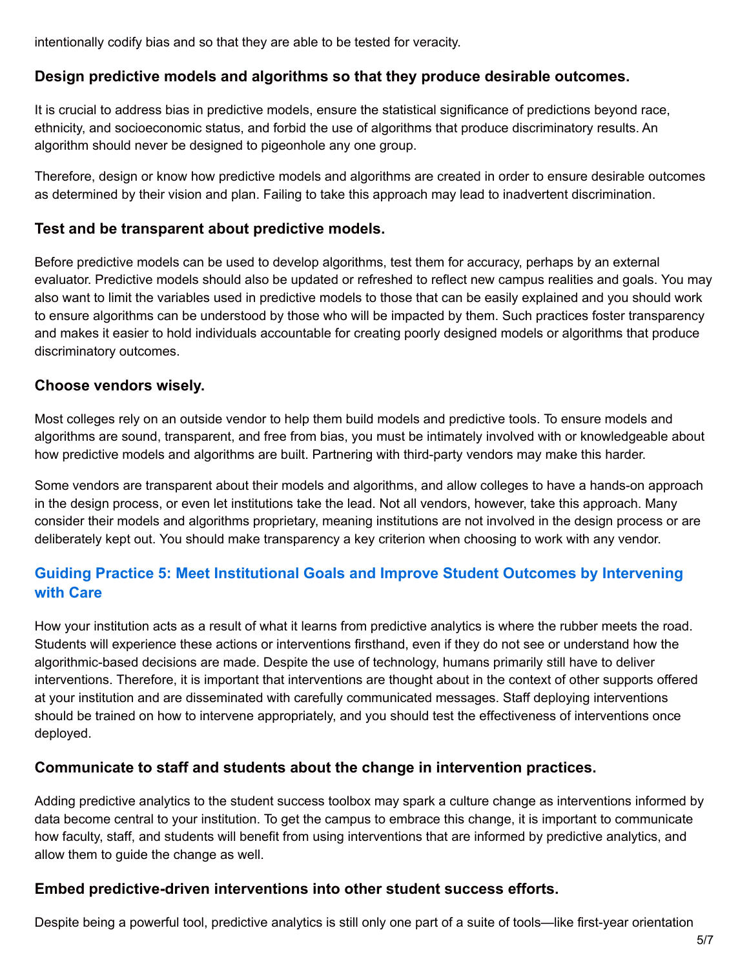<span id="page-4-0"></span>intentionally codify bias and so that they are able to be tested for veracity.

## **Design predictive models and algorithms so that they produce desirable outcomes.**

It is crucial to address bias in predictive models, ensure the statistical significance of predictions beyond race, ethnicity, and socioeconomic status, and forbid the use of algorithms that produce discriminatory results. An algorithm should never be designed to pigeonhole any one group.

Therefore, design or know how predictive models and algorithms are created in order to ensure desirable outcomes as determined by their vision and plan. Failing to take this approach may lead to inadvertent discrimination.

#### **Test and be transparent about predictive models.**

Before predictive models can be used to develop algorithms, test them for accuracy, perhaps by an external evaluator. Predictive models should also be updated or refreshed to reflect new campus realities and goals. You may also want to limit the variables used in predictive models to those that can be easily explained and you should work to ensure algorithms can be understood by those who will be impacted by them. Such practices foster transparency and makes it easier to hold individuals accountable for creating poorly designed models or algorithms that produce discriminatory outcomes.

#### **Choose vendors wisely.**

Most colleges rely on an outside vendor to help them build models and predictive tools. To ensure models and algorithms are sound, transparent, and free from bias, you must be intimately involved with or knowledgeable about how predictive models and algorithms are built. Partnering with third-party vendors may make this harder.

Some vendors are transparent about their models and algorithms, and allow colleges to have a hands-on approach in the design process, or even let institutions take the lead. Not all vendors, however, take this approach. Many consider their models and algorithms proprietary, meaning institutions are not involved in the design process or are deliberately kept out. You should make transparency a key criterion when choosing to work with any vendor.

# **Guiding Practice 5: Meet [Institutional](#page-5-0) Goals and Improve Student Outcomes by Intervening with Care**

How your institution acts as a result of what it learns from predictive analytics is where the rubber meets the road. Students will experience these actions or interventions firsthand, even if they do not see or understand how the algorithmic-based decisions are made. Despite the use of technology, humans primarily still have to deliver interventions. Therefore, it is important that interventions are thought about in the context of other supports offered at your institution and are disseminated with carefully communicated messages. Staff deploying interventions should be trained on how to intervene appropriately, and you should test the effectiveness of interventions once deployed.

#### **Communicate to staff and students about the change in intervention practices.**

Adding predictive analytics to the student success toolbox may spark a culture change as interventions informed by data become central to your institution. To get the campus to embrace this change, it is important to communicate how faculty, staff, and students will benefit from using interventions that are informed by predictive analytics, and allow them to guide the change as well.

#### **Embed predictive-driven interventions into other student success efforts.**

Despite being a powerful tool, predictive analytics is still only one part of a suite of tools—like first-year orientation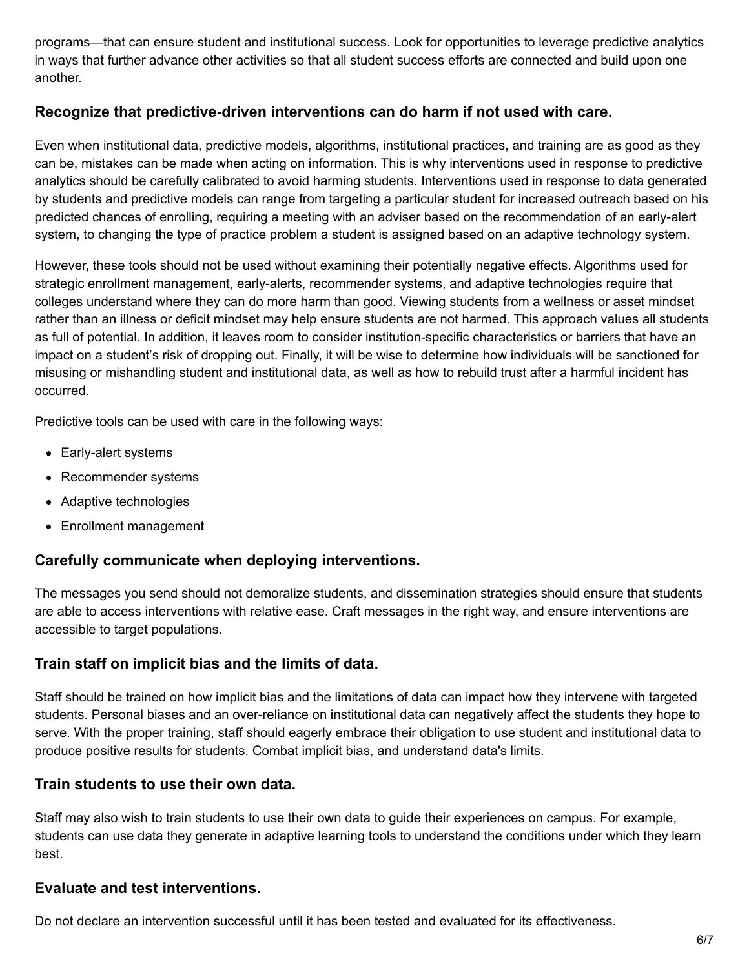<span id="page-5-0"></span>programs—that can ensure student and institutional success. Look for opportunities to leverage predictive analytics in ways that further advance other activities so that all student success efforts are connected and build upon one another.

## **Recognize that predictive-driven interventions can do harm if not used with care.**

Even when institutional data, predictive models, algorithms, institutional practices, and training are as good as they can be, mistakes can be made when acting on information. This is why interventions used in response to predictive analytics should be carefully calibrated to avoid harming students. Interventions used in response to data generated by students and predictive models can range from targeting a particular student for increased outreach based on his predicted chances of enrolling, requiring a meeting with an adviser based on the recommendation of an early-alert system, to changing the type of practice problem a student is assigned based on an adaptive technology system.

However, these tools should not be used without examining their potentially negative effects. Algorithms used for strategic enrollment management, early-alerts, recommender systems, and adaptive technologies require that colleges understand where they can do more harm than good. Viewing students from a wellness or asset mindset rather than an illness or deficit mindset may help ensure students are not harmed. This approach values all students as full of potential. In addition, it leaves room to consider institution-specific characteristics or barriers that have an impact on a student's risk of dropping out. Finally, it will be wise to determine how individuals will be sanctioned for misusing or mishandling student and institutional data, as well as how to rebuild trust after a harmful incident has occurred.

Predictive tools can be used with care in the following ways:

- Early-alert systems
- Recommender systems
- Adaptive technologies
- Enrollment management

#### **Carefully communicate when deploying interventions.**

The messages you send should not demoralize students, and dissemination strategies should ensure that students are able to access interventions with relative ease. Craft messages in the right way, and ensure interventions are accessible to target populations.

#### **Train staff on implicit bias and the limits of data.**

Staff should be trained on how implicit bias and the limitations of data can impact how they intervene with targeted students. Personal biases and an over-reliance on institutional data can negatively affect the students they hope to serve. With the proper training, staff should eagerly embrace their obligation to use student and institutional data to produce positive results for students. Combat implicit bias, and understand data's limits.

#### **Train students to use their own data.**

Staff may also wish to train students to use their own data to guide their experiences on campus. For example, students can use data they generate in adaptive learning tools to understand the conditions under which they learn best.

## **Evaluate and test interventions.**

Do not declare an intervention successful until it has been tested and evaluated for its effectiveness.